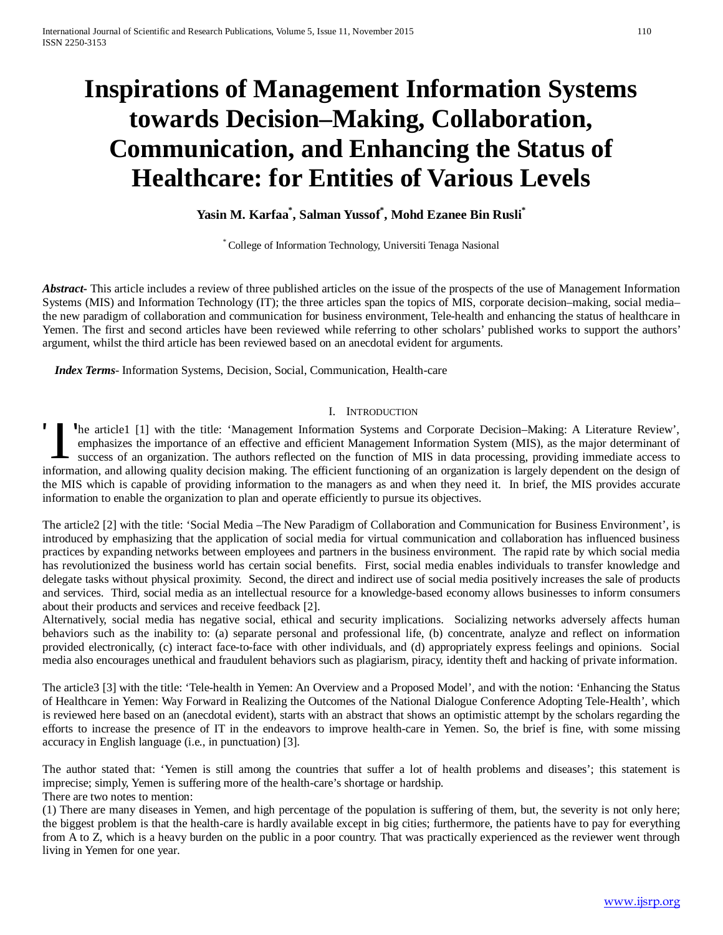# **Inspirations of Management Information Systems towards Decision–Making, Collaboration, Communication, and Enhancing the Status of Healthcare: for Entities of Various Levels**

## **Yasin M. Karfaa\* , Salman Yussof\* , Mohd Ezanee Bin Rusli\***

\* College of Information Technology, Universiti Tenaga Nasional

*Abstract* This article includes a review of three published articles on the issue of the prospects of the use of Management Information Systems (MIS) and Information Technology (IT); the three articles span the topics of MIS, corporate decision–making, social media– the new paradigm of collaboration and communication for business environment, Tele-health and enhancing the status of healthcare in Yemen. The first and second articles have been reviewed while referring to other scholars' published works to support the authors' argument, whilst the third article has been reviewed based on an anecdotal evident for arguments.

 *Index Terms*- Information Systems, Decision, Social, Communication, Health-care

#### I. INTRODUCTION

he article1 [1] with the title: 'Management Information Systems and Corporate Decision–Making: A Literature Review', emphasizes the importance of an effective and efficient Management Information System (MIS), as the major determinant of success of an organization. The authors reflected on the function of MIS in data processing, providing immediate access to The article1 [1] with the title: 'Management Information Systems and Corporate Decision-Making: A Literature Review', emphasizes the importance of an effective and efficient Management Information System (MIS), as the majo the MIS which is capable of providing information to the managers as and when they need it. In brief, the MIS provides accurate information to enable the organization to plan and operate efficiently to pursue its objectives.

The article2 [2] with the title: 'Social Media –The New Paradigm of Collaboration and Communication for Business Environment', is introduced by emphasizing that the application of social media for virtual communication and collaboration has influenced business practices by expanding networks between employees and partners in the business environment. The rapid rate by which social media has revolutionized the business world has certain social benefits. First, social media enables individuals to transfer knowledge and delegate tasks without physical proximity. Second, the direct and indirect use of social media positively increases the sale of products and services. Third, social media as an intellectual resource for a knowledge-based economy allows businesses to inform consumers about their products and services and receive feedback [2].

Alternatively, social media has negative social, ethical and security implications. Socializing networks adversely affects human behaviors such as the inability to: (a) separate personal and professional life, (b) concentrate, analyze and reflect on information provided electronically, (c) interact face-to-face with other individuals, and (d) appropriately express feelings and opinions. Social media also encourages unethical and fraudulent behaviors such as plagiarism, piracy, identity theft and hacking of private information.

The article3 [3] with the title: 'Tele-health in Yemen: An Overview and a Proposed Model', and with the notion: 'Enhancing the Status of Healthcare in Yemen: Way Forward in Realizing the Outcomes of the National Dialogue Conference Adopting Tele-Health', which is reviewed here based on an (anecdotal evident), starts with an abstract that shows an optimistic attempt by the scholars regarding the efforts to increase the presence of IT in the endeavors to improve health-care in Yemen. So, the brief is fine, with some missing accuracy in English language (i.e., in punctuation) [3].

The author stated that: 'Yemen is still among the countries that suffer a lot of health problems and diseases'; this statement is imprecise; simply, Yemen is suffering more of the health-care's shortage or hardship. There are two notes to mention:

(1) There are many diseases in Yemen, and high percentage of the population is suffering of them, but, the severity is not only here; the biggest problem is that the health-care is hardly available except in big cities; furthermore, the patients have to pay for everything from A to Z, which is a heavy burden on the public in a poor country. That was practically experienced as the reviewer went through living in Yemen for one year.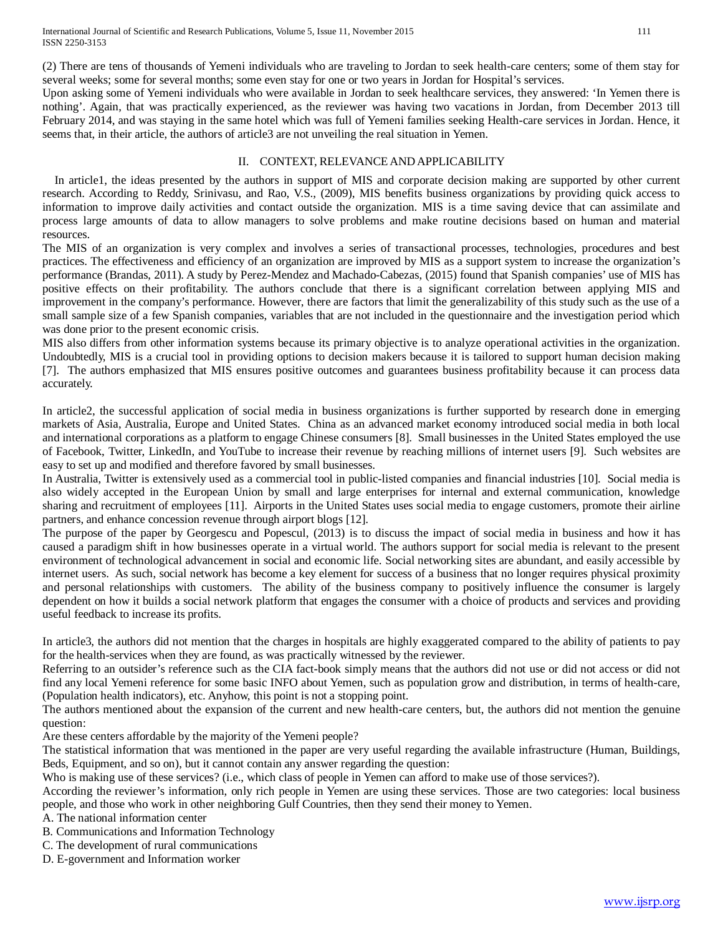(2) There are tens of thousands of Yemeni individuals who are traveling to Jordan to seek health-care centers; some of them stay for several weeks; some for several months; some even stay for one or two years in Jordan for Hospital's services.

Upon asking some of Yemeni individuals who were available in Jordan to seek healthcare services, they answered: 'In Yemen there is nothing'. Again, that was practically experienced, as the reviewer was having two vacations in Jordan, from December 2013 till February 2014, and was staying in the same hotel which was full of Yemeni families seeking Health-care services in Jordan. Hence, it seems that, in their article, the authors of article3 are not unveiling the real situation in Yemen.

#### II. CONTEXT, RELEVANCE ANDAPPLICABILITY

 In article1, the ideas presented by the authors in support of MIS and corporate decision making are supported by other current research. According to Reddy, Srinivasu, and Rao, V.S., (2009), MIS benefits business organizations by providing quick access to information to improve daily activities and contact outside the organization. MIS is a time saving device that can assimilate and process large amounts of data to allow managers to solve problems and make routine decisions based on human and material resources.

The MIS of an organization is very complex and involves a series of transactional processes, technologies, procedures and best practices. The effectiveness and efficiency of an organization are improved by MIS as a support system to increase the organization's performance (Brandas, 2011). A study by Perez-Mendez and Machado-Cabezas, (2015) found that Spanish companies' use of MIS has positive effects on their profitability. The authors conclude that there is a significant correlation between applying MIS and improvement in the company's performance. However, there are factors that limit the generalizability of this study such as the use of a small sample size of a few Spanish companies, variables that are not included in the questionnaire and the investigation period which was done prior to the present economic crisis.

MIS also differs from other information systems because its primary objective is to analyze operational activities in the organization. Undoubtedly, MIS is a crucial tool in providing options to decision makers because it is tailored to support human decision making [7]. The authors emphasized that MIS ensures positive outcomes and guarantees business profitability because it can process data accurately.

In article2, the successful application of social media in business organizations is further supported by research done in emerging markets of Asia, Australia, Europe and United States. China as an advanced market economy introduced social media in both local and international corporations as a platform to engage Chinese consumers [8]. Small businesses in the United States employed the use of Facebook, Twitter, LinkedIn, and YouTube to increase their revenue by reaching millions of internet users [9]. Such websites are easy to set up and modified and therefore favored by small businesses.

In Australia, Twitter is extensively used as a commercial tool in public-listed companies and financial industries [10]. Social media is also widely accepted in the European Union by small and large enterprises for internal and external communication, knowledge sharing and recruitment of employees [11]. Airports in the United States uses social media to engage customers, promote their airline partners, and enhance concession revenue through airport blogs [12].

The purpose of the paper by Georgescu and Popescul, (2013) is to discuss the impact of social media in business and how it has caused a paradigm shift in how businesses operate in a virtual world. The authors support for social media is relevant to the present environment of technological advancement in social and economic life. Social networking sites are abundant, and easily accessible by internet users. As such, social network has become a key element for success of a business that no longer requires physical proximity and personal relationships with customers. The ability of the business company to positively influence the consumer is largely dependent on how it builds a social network platform that engages the consumer with a choice of products and services and providing useful feedback to increase its profits.

In article3, the authors did not mention that the charges in hospitals are highly exaggerated compared to the ability of patients to pay for the health-services when they are found, as was practically witnessed by the reviewer.

Referring to an outsider's reference such as the CIA fact-book simply means that the authors did not use or did not access or did not find any local Yemeni reference for some basic INFO about Yemen, such as population grow and distribution, in terms of health-care, (Population health indicators), etc. Anyhow, this point is not a stopping point.

The authors mentioned about the expansion of the current and new health-care centers, but, the authors did not mention the genuine question:

Are these centers affordable by the majority of the Yemeni people?

The statistical information that was mentioned in the paper are very useful regarding the available infrastructure (Human, Buildings, Beds, Equipment, and so on), but it cannot contain any answer regarding the question:

Who is making use of these services? (i.e., which class of people in Yemen can afford to make use of those services?).

According the reviewer's information, only rich people in Yemen are using these services. Those are two categories: local business people, and those who work in other neighboring Gulf Countries, then they send their money to Yemen.

A. The national information center

- B. Communications and Information Technology
- C. The development of rural communications
- D. E-government and Information worker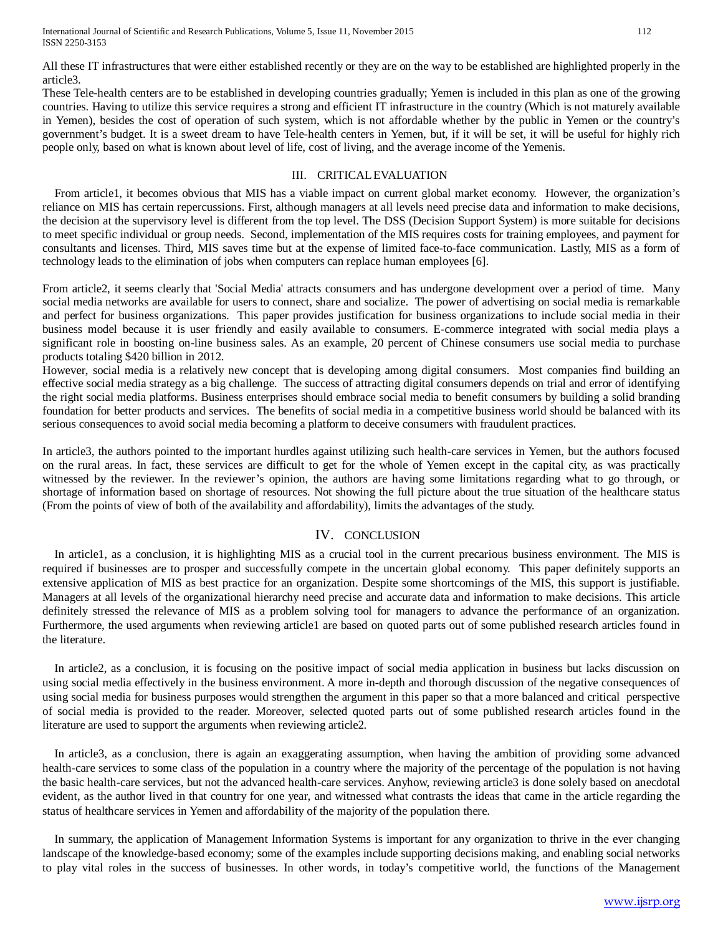International Journal of Scientific and Research Publications, Volume 5, Issue 11, November 2015 112 ISSN 2250-3153

All these IT infrastructures that were either established recently or they are on the way to be established are highlighted properly in the article3.

These Tele-health centers are to be established in developing countries gradually; Yemen is included in this plan as one of the growing countries. Having to utilize this service requires a strong and efficient IT infrastructure in the country (Which is not maturely available in Yemen), besides the cost of operation of such system, which is not affordable whether by the public in Yemen or the country's government's budget. It is a sweet dream to have Tele-health centers in Yemen, but, if it will be set, it will be useful for highly rich people only, based on what is known about level of life, cost of living, and the average income of the Yemenis.

### III. CRITICALEVALUATION

 From article1, it becomes obvious that MIS has a viable impact on current global market economy. However, the organization's reliance on MIS has certain repercussions. First, although managers at all levels need precise data and information to make decisions, the decision at the supervisory level is different from the top level. The DSS (Decision Support System) is more suitable for decisions to meet specific individual or group needs. Second, implementation of the MIS requires costs for training employees, and payment for consultants and licenses. Third, MIS saves time but at the expense of limited face-to-face communication. Lastly, MIS as a form of technology leads to the elimination of jobs when computers can replace human employees [6].

From article2, it seems clearly that 'Social Media' attracts consumers and has undergone development over a period of time. Many social media networks are available for users to connect, share and socialize. The power of advertising on social media is remarkable and perfect for business organizations. This paper provides justification for business organizations to include social media in their business model because it is user friendly and easily available to consumers. E-commerce integrated with social media plays a significant role in boosting on-line business sales. As an example, 20 percent of Chinese consumers use social media to purchase products totaling \$420 billion in 2012.

However, social media is a relatively new concept that is developing among digital consumers. Most companies find building an effective social media strategy as a big challenge. The success of attracting digital consumers depends on trial and error of identifying the right social media platforms. Business enterprises should embrace social media to benefit consumers by building a solid branding foundation for better products and services. The benefits of social media in a competitive business world should be balanced with its serious consequences to avoid social media becoming a platform to deceive consumers with fraudulent practices.

In article3, the authors pointed to the important hurdles against utilizing such health-care services in Yemen, but the authors focused on the rural areas. In fact, these services are difficult to get for the whole of Yemen except in the capital city, as was practically witnessed by the reviewer. In the reviewer's opinion, the authors are having some limitations regarding what to go through, or shortage of information based on shortage of resources. Not showing the full picture about the true situation of the healthcare status (From the points of view of both of the availability and affordability), limits the advantages of the study.

## IV. CONCLUSION

In article1, as a conclusion, it is highlighting MIS as a crucial tool in the current precarious business environment. The MIS is required if businesses are to prosper and successfully compete in the uncertain global economy. This paper definitely supports an extensive application of MIS as best practice for an organization. Despite some shortcomings of the MIS, this support is justifiable. Managers at all levels of the organizational hierarchy need precise and accurate data and information to make decisions. This article definitely stressed the relevance of MIS as a problem solving tool for managers to advance the performance of an organization. Furthermore, the used arguments when reviewing article1 are based on quoted parts out of some published research articles found in the literature.

In article2, as a conclusion, it is focusing on the positive impact of social media application in business but lacks discussion on using social media effectively in the business environment. A more in-depth and thorough discussion of the negative consequences of using social media for business purposes would strengthen the argument in this paper so that a more balanced and critical perspective of social media is provided to the reader. Moreover, selected quoted parts out of some published research articles found in the literature are used to support the arguments when reviewing article2.

In article3, as a conclusion, there is again an exaggerating assumption, when having the ambition of providing some advanced health-care services to some class of the population in a country where the majority of the percentage of the population is not having the basic health-care services, but not the advanced health-care services. Anyhow, reviewing article3 is done solely based on anecdotal evident, as the author lived in that country for one year, and witnessed what contrasts the ideas that came in the article regarding the status of healthcare services in Yemen and affordability of the majority of the population there.

In summary, the application of Management Information Systems is important for any organization to thrive in the ever changing landscape of the knowledge-based economy; some of the examples include supporting decisions making, and enabling social networks to play vital roles in the success of businesses. In other words, in today's competitive world, the functions of the Management